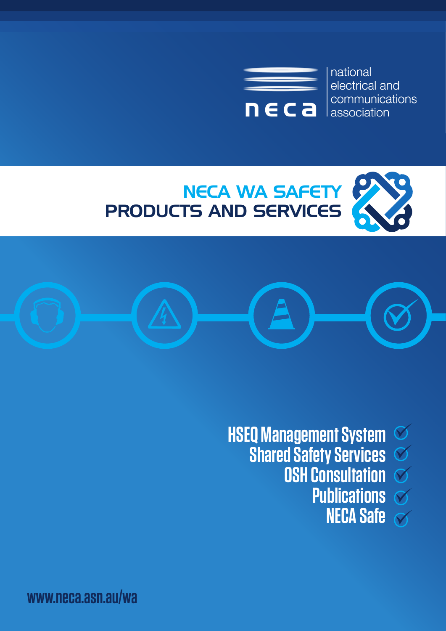

national electrical and communications l association





**HSEQ Management System**   $\bigotimes$ **Shared Safety Services**   $\bigcirc$ **OSH Consultation**  $\delta$ **Publications NECA Safe** $\overline{\mathcal{N}}$ 

**www.neca.asn.au/wa**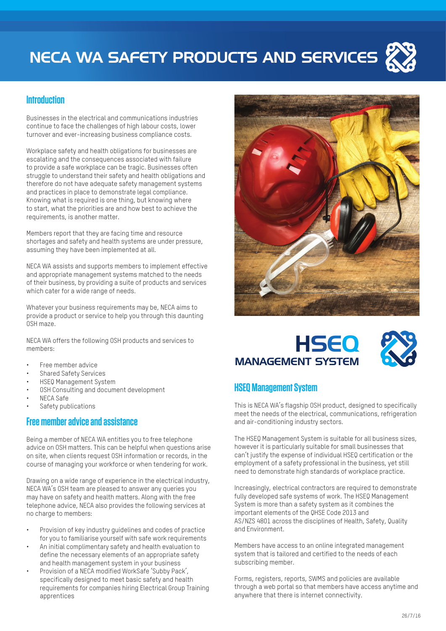

#### **Introduction**

Businesses in the electrical and communications industries continue to face the challenges of high labour costs, lower turnover and ever-increasing business compliance costs.

Workplace safety and health obligations for businesses are escalating and the consequences associated with failure to provide a safe workplace can be tragic. Businesses often struggle to understand their safety and health obligations and therefore do not have adequate safety management systems and practices in place to demonstrate legal compliance. Knowing what is required is one thing, but knowing where to start, what the priorities are and how best to achieve the requirements, is another matter.

Members report that they are facing time and resource shortages and safety and health systems are under pressure, assuming they have been implemented at all.

NECA WA assists and supports members to implement effective and appropriate management systems matched to the needs of their business, by providing a suite of products and services which cater for a wide range of needs.

Whatever your business requirements may be, NECA aims to provide a product or service to help you through this daunting OSH maze.

NECA WA offers the following OSH products and services to members:

- Free member advice
- Shared Safety Services
- HSEQ Management System
- OSH Consulting and document development
- NECA Safe
- Safety publications

#### **Free member advice and assistance**

Being a member of NECA WA entitles you to free telephone advice on OSH matters. This can be helpful when questions arise on site, when clients request OSH information or records, in the course of managing your workforce or when tendering for work.

Drawing on a wide range of experience in the electrical industry, NECA WA's OSH team are pleased to answer any queries you may have on safety and health matters. Along with the free telephone advice, NECA also provides the following services at no charge to members:

- Provision of key industry quidelines and codes of practice for you to familiarise yourself with safe work requirements
- An initial complimentary safety and health evaluation to define the necessary elements of an appropriate safety and health management system in your business
- Provision of a NECA modified WorkSafe 'Subby Pack', specifically designed to meet basic safety and health requirements for companies hiring Electrical Group Training apprentices



## HSEQ MANAGEMENT SYSTEM



#### **HSEQ Management System**

This is NECA WA's flagship OSH product, designed to specifically meet the needs of the electrical, communications, refrigeration and air-conditioning industry sectors.

The HSEQ Management System is suitable for all business sizes, however it is particularly suitable for small businesses that can't justify the expense of individual HSEQ certification or the employment of a safety professional in the business, yet still need to demonstrate high standards of workplace practice.

Increasingly, electrical contractors are required to demonstrate fully developed safe systems of work. The HSEQ Management System is more than a safety system as it combines the important elements of the QHSE Code 2013 and AS/NZS 4801 across the disciplines of Health, Safety, Quality and Environment.

Members have access to an online integrated management system that is tailored and certified to the needs of each subscribing member.

Forms, registers, reports, SWMS and policies are available through a web portal so that members have access anytime and anywhere that there is internet connectivity.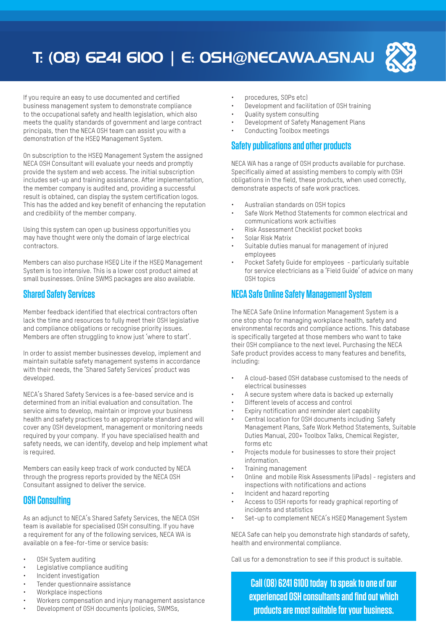# T: (08) 6241 6100 | E: OSH@NECAWA.ASN.AU



If you require an easy to use documented and certified business management system to demonstrate compliance to the occupational safety and health legislation, which also meets the quality standards of government and large contract principals, then the NECA OSH team can assist you with a demonstration of the HSEQ Management System.

On subscription to the HSEQ Management System the assigned NECA OSH Consultant will evaluate your needs and promptly provide the system and web access. The initial subscription includes set-up and training assistance. After implementation, the member company is audited and, providing a successful result is obtained, can display the system certification logos. This has the added and key benefit of enhancing the reputation and credibility of the member company.

Using this system can open up business opportunities you may have thought were only the domain of large electrical contractors.

Members can also purchase HSEQ Lite if the HSEQ Management System is too intensive. This is a lower cost product aimed at small businesses. Online SWMS packages are also available.

#### **Shared Safety Services**

Member feedback identified that electrical contractors often lack the time and resources to fully meet their OSH legislative and compliance obligations or recognise priority issues. Members are often struggling to know just 'where to start'.

In order to assist member businesses develop, implement and maintain suitable safety management systems in accordance with their needs, the 'Shared Safety Services' product was developed.

NECA's Shared Safety Services is a fee-based service and is determined from an initial evaluation and consultation. The service aims to develop, maintain or improve your business health and safety practices to an appropriate standard and will cover any OSH development, management or monitoring needs required by your company. If you have specialised health and safety needs, we can identify, develop and help implement what is required.

Members can easily keep track of work conducted by NECA through the progress reports provided by the NECA OSH Consultant assigned to deliver the service.

#### **OSH Consulting**

As an adjunct to NECA's Shared Safety Services, the NECA OSH team is available for specialised OSH consulting. If you have a requirement for any of the following services, NECA WA is available on a fee-for-time or service basis:

- OSH System auditing
- Legislative compliance auditing
- Incident investigation
- Tender questionnaire assistance
- Workplace inspections
- Workers compensation and injury management assistance
- Development of OSH documents (policies, SWMSs,
- procedures, SOPs etc)
- Development and facilitation of OSH training
- Quality system consulting
- Development of Safety Management Plans Conducting Toolbox meetings

#### **Safety publications and other products**

NECA WA has a range of OSH products available for purchase. Specifically aimed at assisting members to comply with OSH obligations in the field, these products, when used correctly, demonstrate aspects of safe work practices.

- Australian standards on OSH topics
- Safe Work Method Statements for common electrical and communications work activities
- Risk Assessment Checklist pocket books
- Solar Risk Matrix
- Suitable duties manual for management of injured employees
- Pocket Safety Guide for employees particularly suitable for service electricians as a 'Field Guide' of advice on many OSH topics

### **NECA Safe Online Safety Management System**

The NECA Safe Online Information Management System is a one stop shop for managing workplace health, safety and environmental records and compliance actions. This database is specifically targeted at those members who want to take their OSH compliance to the next level. Purchasing the NECA Safe product provides access to many features and benefits, including:

- A cloud-based OSH database customised to the needs of electrical businesses
- A secure system where data is backed up externally
- Different levels of access and control
- Expiry notification and reminder alert capability
- Central location for OSH documents including Safety Management Plans, Safe Work Method Statements, Suitable Duties Manual, 200+ Toolbox Talks, Chemical Register, forms etc
- Projects module for businesses to store their project information.
- Training management
- Online and mobile Risk Assessments (iPads) registers and inspections with notifications and actions
- Incident and hazard reporting
- Access to OSH reports for ready graphical reporting of incidents and statistics
- Set-up to complement NECA's HSEQ Management System

NECA Safe can help you demonstrate high standards of safety, health and environmental compliance.

Call us for a demonstration to see if this product is suitable.

**Call (08) 6241 6100 today to speak to one of our experienced OSH consultants and find out which products are most suitable for your business.**